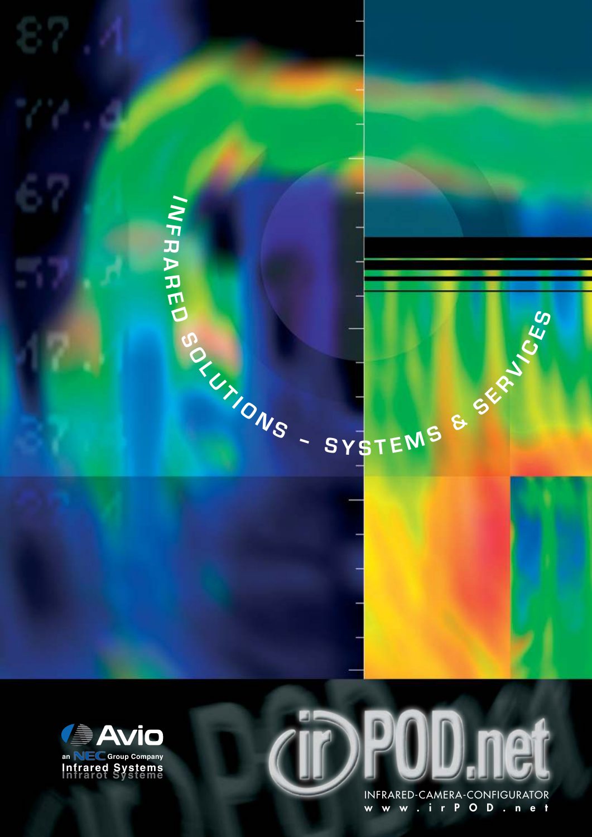







INFRARED-CAMERA-CONFIGURATOR www.irPOD.net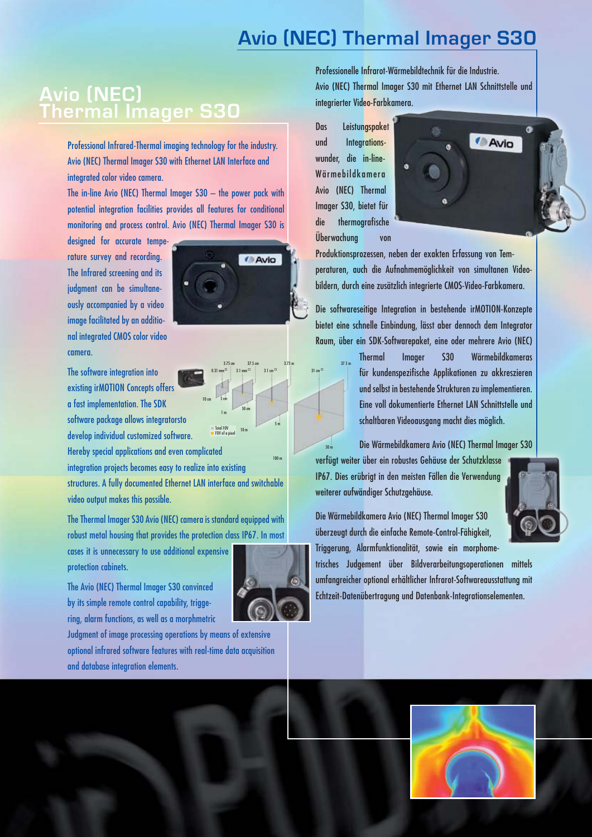# **Avio (NEC) Thermal Imager S30**

### **Avio (NEC) Thermal Imager S30**

Professional Infrared-Thermal imaging technology for the industry. Avio (NEC) Thermal Imager S30 with Ethernet LAN Interface and integrated color video camera.

The in-line Avio (NEC) Thermal Imager S30 – the power pack with potential integration facilities provides all features for conditional monitoring and process control. Avio (NEC) Thermal Imager S30 is

designed for accurate temperature survey and recording. The Infrared screening and its judgment can be simultaneously accompanied by a video image facilitated by an additional integrated CMOS color video camera.

The software integration into existing irMOTION Concepts offers a fast implementation. The SDK software package allows integratorsto develop individual customized software.

Hereby special applications and even complicated

integration projects becomes easy to realize into existing

structures. A fully documented Ethernet LAN interface and switchable video output makes this possible.

10 cm 5 cm 1 m

Total FOV FOV of a pixel

50 cm

10 m

The Thermal Imager S30 Avio (NEC) camera is standard equipped with robust metal housing that provides the protection class IP67. In most

cases it is unnecessary to use additional expensive protection cabinets.

The Avio (NEC) Thermal Imager S30 convinced by its simple remote control capability, triggering, alarm functions, as well as a morphmetric

Judgment of image processing operations by means of extensive optional infrared software features with real-time data acquisition and database integration elements.

Professionelle Infrarot-Wärmebildtechnik für die Industrie. Avio (NEC) Thermal Imager S30 mit Ethernet LAN Schnittstelle und integrierter Video-Farbkamera.

Das Leistungspaket und Integrationswunder, die in-line-Wärmebildkamera Avio (NEC) Thermal Imager S30, bietet für die thermografische Überwachung von



Produktionsprozessen, neben der exakten Erfassung von Temperaturen, auch die Aufnahmemöglichkeit von simultanen Videobildern, durch eine zusätzlich integrierte CMOS-Video-Farbkamera.

Die softwareseitige Integration in bestehende irMOTION-Konzepte bietet eine schnelle Einbindung, lässt aber dennoch dem Integrator Raum, über ein SDK-Softwarepaket, eine oder mehrere Avio (NEC)

> **Thermal Imager S30 Wärmebildkameras**  für kundenspezifische Applikationen zu akkreszieren und selbst in bestehende Strukturen zu implementieren. Eine voll dokumentierte Ethernet LAN Schnittstelle und schaltbaren Videoausgang macht dies möglich.

Die Wärmebildkamera Avio (NEC) Thermal Imager S30

verfügt weiter über ein robustes Gehäuse der Schutzklasse IP67. Dies erübrigt in den meisten Fällen die Verwendung weiterer aufwändiger Schutzgehäuse.

Die Wärmebildkamera Avio (NEC) Thermal Imager S30 überzeugt durch die einfache Remote-Control-Fähigkeit, Triggerung, Alarmfunktionalität, sowie ein morphome-

trisches Judgement über Bildverarbeitungsoperationen mittels umfangreicher optional erhältlicher Infrarot-Softwareausstattung mit Echtzeit-Datenübertragung und Datenbank-Integrationselementen.

 3.75 cm 37.5 cm 3.75 m 37.5 m  $0.31$  mm  $^{\square}$   $\begin{array}{|c|c|c|c|}\n\hline\n3.1$  cm  $^{\square}$   $\hline\n3.1$  cm  $^{\square}$ 

**Avio** 

5 m

100 m

50 m

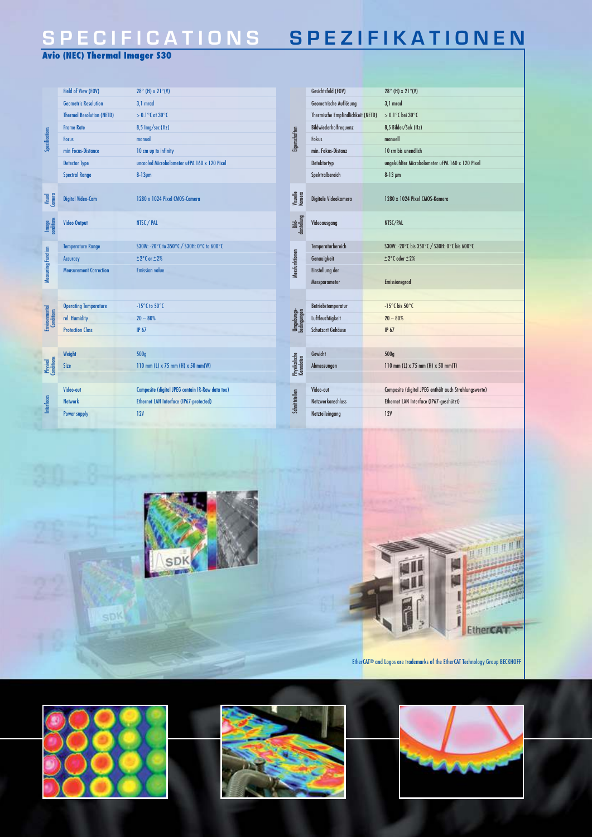## **SPECIFICATIONS SPEZIFIKATIONEN**

#### **Avio (NEC) Thermal Imager S30**

| Specifications                | Field of View (FOV)              | $28^{\circ}$ (H) x $21^{\circ}$ (V)              |                            | Gesichtsfeld (FOV)                | $28^{\circ}$ (H) x 21 $^{\circ}$ (V)                  |
|-------------------------------|----------------------------------|--------------------------------------------------|----------------------------|-----------------------------------|-------------------------------------------------------|
|                               | <b>Geometric Resolution</b>      | 3,1 mrad                                         |                            | Geometrische Auflösung            | 3,1 mrad                                              |
|                               | <b>Thermal Resolution (NETD)</b> | $> 0.1$ °C at 30 °C                              |                            | Thermische Empfindlichkeit (NETD) | $>0.1^{\circ}$ C bei 30°C                             |
|                               | <b>Frame Rate</b>                | 8,5 lmg/sec (Hz)                                 |                            | Bildwiederholfrequenz             | 8,5 Bilder/Sek (Hz)                                   |
|                               | <b>Focus</b>                     | manual                                           | Eigenschaften              | Fokus                             | manuell                                               |
|                               | min Focus-Distance               | 10 cm up to infinity                             |                            | min. Fokus-Distanz                | 10 cm bis unendlich                                   |
|                               | <b>Detector Type</b>             | uncooled Microbolometer uFPA 160 x 120 Pixel     |                            | Detektortyp                       | ungekühlter Microbolometer uFPA 160 x 120 Pixel       |
|                               | <b>Spectral Range</b>            | $8-13 \mu m$                                     |                            | Spektralbereich                   | $8-13 \mu m$                                          |
| Visual<br>Camera              | <b>Digital Video-Cam</b>         | 1280 x 1024 Pixel CMOS-Camera                    | Visuelle<br>Kamera         | Digitale Videokamera              | 1280 x 1024 Pixel CMOS-Kamera                         |
| Image<br>conditions           | <b>Video Output</b>              | NTSC / PAL                                       | Bild-<br>darstellung       | Videoausaana                      | NTSC/PAL                                              |
|                               |                                  |                                                  |                            |                                   |                                                       |
| Measuring Function            | <b>Temperature Range</b>         | S30W: -20°C to 350°C / S30H: 0°C to 600°C        |                            | Temperaturbereich                 | S30W: -20°C bis 350°C / S30H: 0°C bis 600°C           |
|                               | <b>Accuracy</b>                  | $±2^{\circ}$ C or $±2\%$                         | Messfunktionen             | Genavigkeit                       | $±2°C$ oder $±2%$                                     |
|                               | <b>Measurement Correction</b>    | <b>Emission value</b>                            |                            | Einstellung der                   |                                                       |
|                               |                                  |                                                  |                            | Messparameter                     | <b>Emissionsgrad</b>                                  |
| <b>Environmental</b>          |                                  |                                                  |                            |                                   |                                                       |
|                               | <b>Operating Temperature</b>     | $-15^{\circ}$ C to $50^{\circ}$ C                |                            | Betriebstemperatur                | -15°C bis 50°C                                        |
|                               | rel. Humidity                    | $20 - 80%$                                       | Umgebungs-<br>bedingungen  | Luftfeuchtigkeit                  | $20 - 80%$                                            |
|                               | <b>Protection Class</b>          | <b>IP 67</b>                                     |                            | Schutzart Gehäuse                 | <b>IP 67</b>                                          |
|                               |                                  |                                                  |                            |                                   |                                                       |
| <b>Physical</b><br>Conditions | Weight                           | 500q                                             |                            | Gewicht                           | 500q                                                  |
|                               | <b>Size</b>                      | 110 mm (L) x 75 mm (H) x 50 mm(W)                | Physikalische<br>Kenndaten | Abmessungen                       | 110 mm (L) x 75 mm (H) x 50 mm(T)                     |
|                               |                                  |                                                  |                            |                                   |                                                       |
| <b>Interfaces</b>             | Video-out                        | Composite (digital JPEG contain IR-Raw data too) |                            | Video-out                         | Composite (digital JPEG enthält auch Strahlungswerte) |
|                               | <b>Network</b>                   | Ethernet LAN Interface (IP67-protected)          | Schnittstellen             | <b>Netzwerkanschluss</b>          | Ethernet LAN Interface (IP67-geschützt)               |
|                               | Power supply                     | 12V                                              |                            | Netzteileingang                   | <b>12V</b>                                            |





EtherCAT® and Logos are trademarks of the EtherCAT Technology Group BECKHOFF



SDK